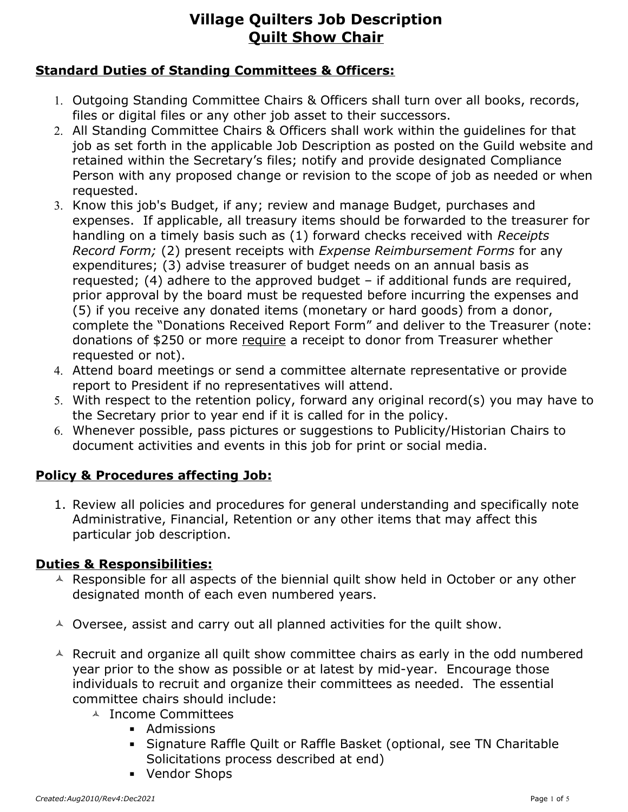### **Standard Duties of Standing Committees & Officers:**

- 1. Outgoing Standing Committee Chairs & Officers shall turn over all books, records, files or digital files or any other job asset to their successors.
- 2. All Standing Committee Chairs & Officers shall work within the guidelines for that job as set forth in the applicable Job Description as posted on the Guild website and retained within the Secretary's files; notify and provide designated Compliance Person with any proposed change or revision to the scope of job as needed or when requested.
- 3. Know this job's Budget, if any; review and manage Budget, purchases and expenses. If applicable, all treasury items should be forwarded to the treasurer for handling on a timely basis such as (1) forward checks received with *Receipts Record Form;* (2) present receipts with *Expense Reimbursement Forms* for any expenditures; (3) advise treasurer of budget needs on an annual basis as requested; (4) adhere to the approved budget – if additional funds are required, prior approval by the board must be requested before incurring the expenses and (5) if you receive any donated items (monetary or hard goods) from a donor, complete the "Donations Received Report Form" and deliver to the Treasurer (note: donations of \$250 or more require a receipt to donor from Treasurer whether requested or not).
- 4. Attend board meetings or send a committee alternate representative or provide report to President if no representatives will attend.
- 5. With respect to the retention policy, forward any original record(s) you may have to the Secretary prior to year end if it is called for in the policy.
- 6. Whenever possible, pass pictures or suggestions to Publicity/Historian Chairs to document activities and events in this job for print or social media.

### **Policy & Procedures affecting Job:**

1. Review all policies and procedures for general understanding and specifically note Administrative, Financial, Retention or any other items that may affect this particular job description.

### **Duties & Responsibilities:**

- $\triangle$  Responsible for all aspects of the biennial quilt show held in October or any other designated month of each even numbered years.
- $\triangle$  Oversee, assist and carry out all planned activities for the quilt show.
- $\triangle$  Recruit and organize all quilt show committee chairs as early in the odd numbered year prior to the show as possible or at latest by mid-year. Encourage those individuals to recruit and organize their committees as needed. The essential committee chairs should include:
	- **A** Income Committees
		- Admissions
		- **EXA** Signature Raffle Quilt or Raffle Basket (optional, see TN Charitable Solicitations process described at end)
		- Vendor Shops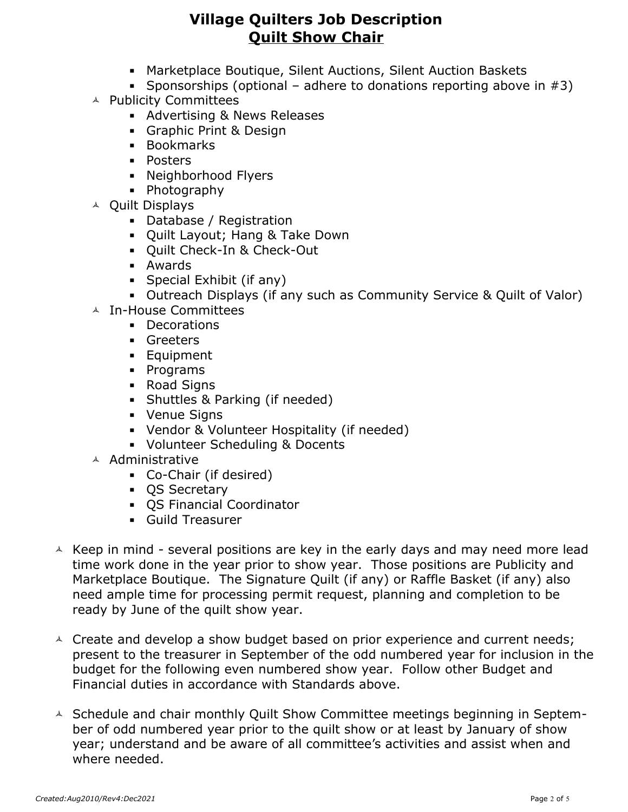- Marketplace Boutique, Silent Auctions, Silent Auction Baskets
- **•** Sponsorships (optional adhere to donations reporting above in  $#3$ )
- **A** Publicity Committees
	- **E** Advertising & News Releases
	- **Graphic Print & Design**
	- Bookmarks
	- Posters
	- Neighborhood Flyers
	- Photography
- Quilt Displays
	- Database / Registration
	- Quilt Layout; Hang & Take Down
	- Quilt Check-In & Check-Out
	- Awards
	- **•** Special Exhibit (if any)
	- **Outreach Displays (if any such as Community Service & Quilt of Valor)**
- In-House Committees
	- Decorations
	- **•** Greeters
	- **Equipment**
	- Programs
	- Road Signs
	- Shuttles & Parking (if needed)
	- Venue Signs
	- Vendor & Volunteer Hospitality (if needed)
	- Volunteer Scheduling & Docents
- Administrative
	- Co-Chair (if desired)
	- QS Secretary
	- QS Financial Coordinator
	- Guild Treasurer
- $\triangle$  Keep in mind several positions are key in the early days and may need more lead time work done in the year prior to show year. Those positions are Publicity and Marketplace Boutique. The Signature Quilt (if any) or Raffle Basket (if any) also need ample time for processing permit request, planning and completion to be ready by June of the quilt show year.
- $\triangle$  Create and develop a show budget based on prior experience and current needs; present to the treasurer in September of the odd numbered year for inclusion in the budget for the following even numbered show year. Follow other Budget and Financial duties in accordance with Standards above.
- A Schedule and chair monthly Quilt Show Committee meetings beginning in September of odd numbered year prior to the quilt show or at least by January of show year; understand and be aware of all committee's activities and assist when and where needed.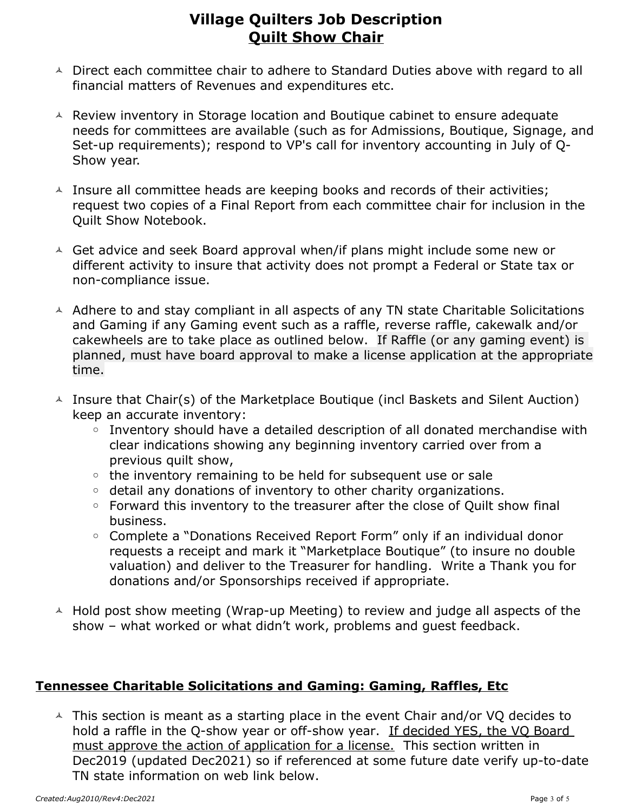- $\triangle$  Direct each committee chair to adhere to Standard Duties above with regard to all financial matters of Revenues and expenditures etc.
- $\triangle$  Review inventory in Storage location and Boutique cabinet to ensure adequate needs for committees are available (such as for Admissions, Boutique, Signage, and Set-up requirements); respond to VP's call for inventory accounting in July of Q-Show year.
- $\triangle$  Insure all committee heads are keeping books and records of their activities; request two copies of a Final Report from each committee chair for inclusion in the Quilt Show Notebook.
- $\triangle$  Get advice and seek Board approval when/if plans might include some new or different activity to insure that activity does not prompt a Federal or State tax or non-compliance issue.
- $\triangle$  Adhere to and stay compliant in all aspects of any TN state Charitable Solicitations and Gaming if any Gaming event such as a raffle, reverse raffle, cakewalk and/or cakewheels are to take place as outlined below. If Raffle (or any gaming event) is planned, must have board approval to make a license application at the appropriate time.
- $\triangle$  Insure that Chair(s) of the Marketplace Boutique (incl Baskets and Silent Auction) keep an accurate inventory:
	- Inventory should have a detailed description of all donated merchandise with clear indications showing any beginning inventory carried over from a previous quilt show,
	- the inventory remaining to be held for subsequent use or sale
	- detail any donations of inventory to other charity organizations.
	- Forward this inventory to the treasurer after the close of Quilt show final business.
	- Complete a "Donations Received Report Form" only if an individual donor requests a receipt and mark it "Marketplace Boutique" (to insure no double valuation) and deliver to the Treasurer for handling. Write a Thank you for donations and/or Sponsorships received if appropriate.
- $\triangle$  Hold post show meeting (Wrap-up Meeting) to review and judge all aspects of the show – what worked or what didn't work, problems and guest feedback.

### **Tennessee Charitable Solicitations and Gaming: Gaming, Raffles, Etc**

 $\overline{\phantom{a}}$  This section is meant as a starting place in the event Chair and/or VQ decides to hold a raffle in the Q-show year or off-show year. If decided YES, the VQ Board must approve the action of application for a license. This section written in Dec2019 (updated Dec2021) so if referenced at some future date verify up-to-date TN state information on web link below.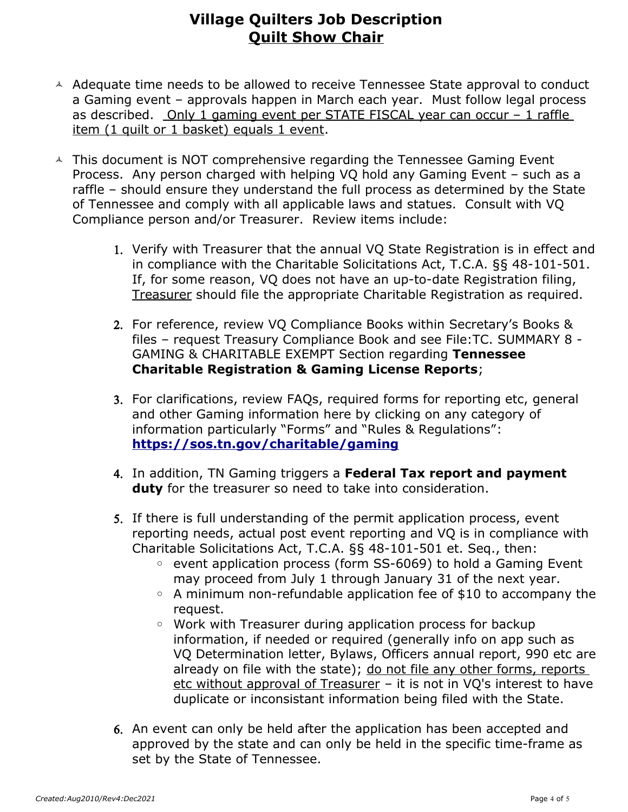- $\triangle$  Adequate time needs to be allowed to receive Tennessee State approval to conduct a Gaming event – approvals happen in March each year. Must follow legal process as described. Only 1 gaming event per STATE FISCAL year can occur – 1 raffle item (1 quilt or 1 basket) equals 1 event.
- $\triangle$  This document is NOT comprehensive regarding the Tennessee Gaming Event Process. Any person charged with helping VQ hold any Gaming Event – such as a raffle – should ensure they understand the full process as determined by the State of Tennessee and comply with all applicable laws and statues. Consult with VQ Compliance person and/or Treasurer. Review items include:
	- 1. Verify with Treasurer that the annual VQ State Registration is in effect and in compliance with the Charitable Solicitations Act, T.C.A. §§ 48-101-501. If, for some reason, VQ does not have an up-to-date Registration filing, Treasurer should file the appropriate Charitable Registration as required.
	- 2. For reference, review VQ Compliance Books within Secretary's Books & files – request Treasury Compliance Book and see File:TC. SUMMARY 8 - GAMING & CHARITABLE EXEMPT Section regarding **Tennessee Charitable Registration & Gaming License Reports**;
	- 3. For clarifications, review FAQs, required forms for reporting etc, general and other Gaming information here by clicking on any category of information particularly "Forms" and "Rules & Regulations": **<https://sos.tn.gov/charitable/gaming>**
	- 4. In addition, TN Gaming triggers a **Federal Tax report and payment duty** for the treasurer so need to take into consideration.
	- 5. If there is full understanding of the permit application process, event reporting needs, actual post event reporting and VQ is in compliance with Charitable Solicitations Act, T.C.A. §§ 48-101-501 et. Seq., then:
		- event application process (form SS-6069) to hold a Gaming Event may proceed from July 1 through January 31 of the next year.
		- A minimum non-refundable application fee of \$10 to accompany the request.
		- Work with Treasurer during application process for backup information, if needed or required (generally info on app such as VQ Determination letter, Bylaws, Officers annual report, 990 etc are already on file with the state); do not file any other forms, reports etc without approval of Treasurer – it is not in VQ's interest to have duplicate or inconsistant information being filed with the State.
	- 6. An event can only be held after the application has been accepted and approved by the state and can only be held in the specific time-frame as set by the State of Tennessee.